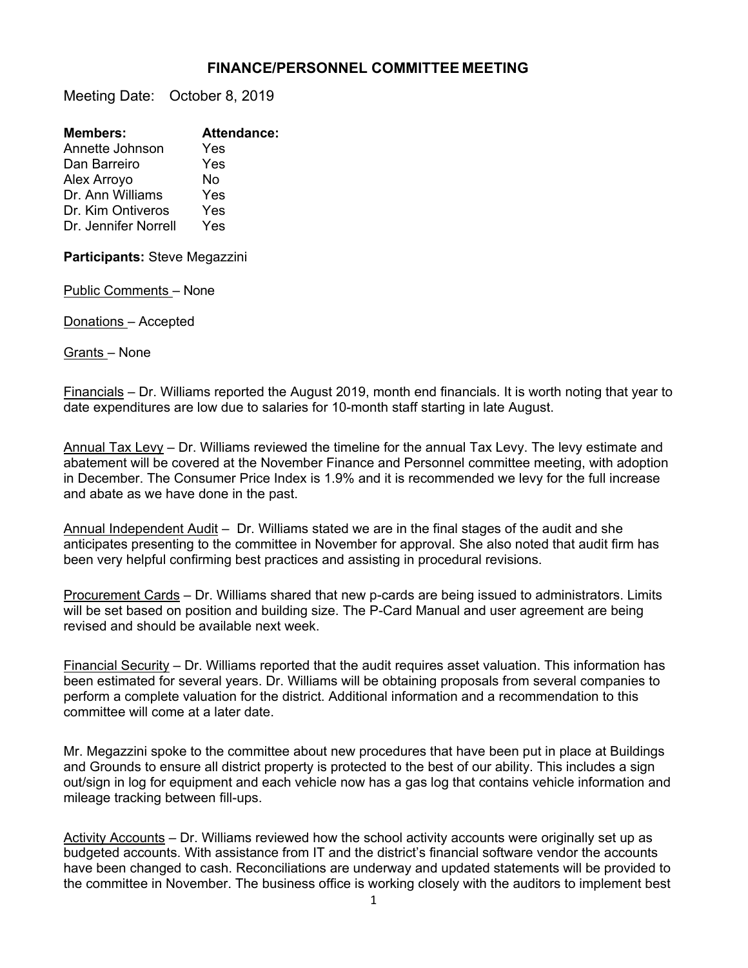## **FINANCE/PERSONNEL COMMITTEE MEETING**

Meeting Date: October 8, 2019

| <b>Members:</b>      | <b>Attendance:</b> |
|----------------------|--------------------|
| Annette Johnson      | Yes                |
| Dan Barreiro         | Yes                |
| Alex Arroyo          | No                 |
| Dr. Ann Williams     | Yes                |
| Dr. Kim Ontiveros    | Yes                |
| Dr. Jennifer Norrell | Yes                |
|                      |                    |

**Participants:** Steve Megazzini

Public Comments – None

Donations – Accepted

Grants – None

Financials – Dr. Williams reported the August 2019, month end financials. It is worth noting that year to date expenditures are low due to salaries for 10-month staff starting in late August.

Annual Tax Levy – Dr. Williams reviewed the timeline for the annual Tax Levy. The levy estimate and abatement will be covered at the November Finance and Personnel committee meeting, with adoption in December. The Consumer Price Index is 1.9% and it is recommended we levy for the full increase and abate as we have done in the past.

Annual Independent Audit – Dr. Williams stated we are in the final stages of the audit and she anticipates presenting to the committee in November for approval. She also noted that audit firm has been very helpful confirming best practices and assisting in procedural revisions.

Procurement Cards - Dr. Williams shared that new p-cards are being issued to administrators. Limits will be set based on position and building size. The P-Card Manual and user agreement are being revised and should be available next week.

Financial Security – Dr. Williams reported that the audit requires asset valuation. This information has been estimated for several years. Dr. Williams will be obtaining proposals from several companies to perform a complete valuation for the district. Additional information and a recommendation to this committee will come at a later date.

Mr. Megazzini spoke to the committee about new procedures that have been put in place at Buildings and Grounds to ensure all district property is protected to the best of our ability. This includes a sign out/sign in log for equipment and each vehicle now has a gas log that contains vehicle information and mileage tracking between fill-ups.

Activity Accounts – Dr. Williams reviewed how the school activity accounts were originally set up as budgeted accounts. With assistance from IT and the district's financial software vendor the accounts have been changed to cash. Reconciliations are underway and updated statements will be provided to the committee in November. The business office is working closely with the auditors to implement best